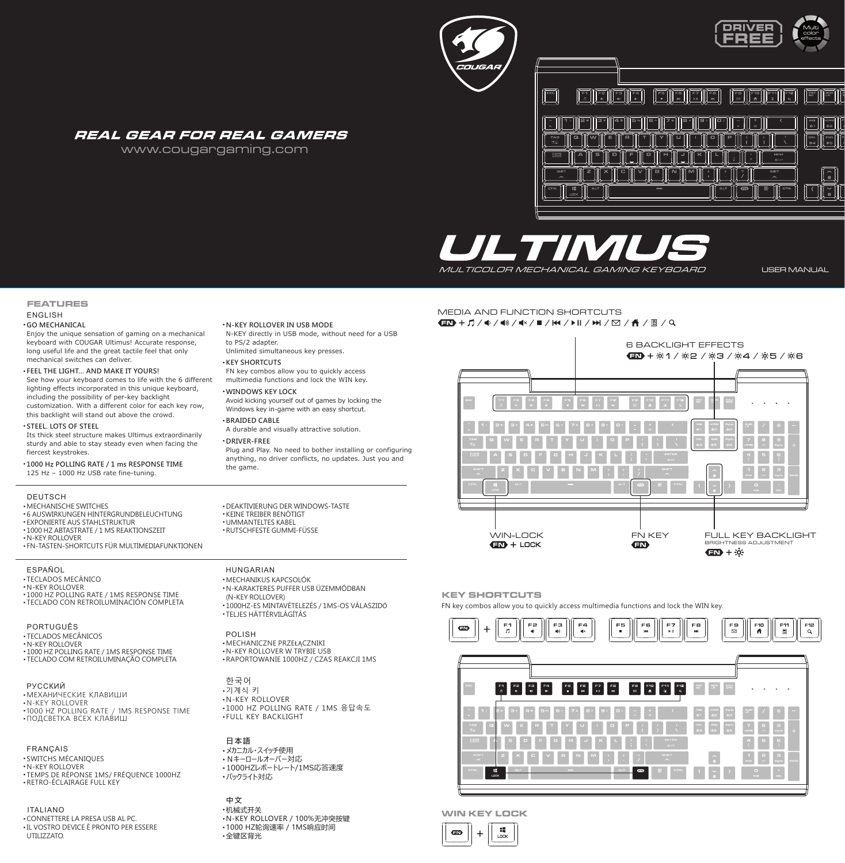## REAL GEAR FOR REAL GAMERS

www.cougargaming.com



IL TIM MULTICOLOR MECHANICAL GAMING KEYBOARD

USER MANUAL

### **FEATURES** ENGLISH

#### ● **GO MECHANICAL**

 Enjoy the unique sensation of gaming on a mechanical keyboard with COUGAR Ultimus! Accurate response, long useful life and the great tactile feel that only mechanical switches can deliver.

### ● **FEEL THE LIGHT… AND MAKE IT YOURS!**

See how your keyboard comes to life with the 6 different lighting effects incorporated in this unique keyboard, including the possibility of per-key backlight customization. With a different color for each key row, this backlight will stand out above the crowd.

### ● **STEEL. LOTS OF STEEL**

 Its thick steel structure makes Ultimus extraordinarily sturdy and able to stay steady even when facing the fiercest keystrokes.

● **1000 Hz POLLING RATE / 1 ms RESPONSE TIME** 125 Hz – 1000 Hz USB rate fine-tuning.

### **DEUTSCH**

● MECHANISCHE SWITCHES

- 6 AUSWIRKUNGEN HINTERGRUNDBELEUCHTUNG • EXPONIERTE AUS STAHLSTRUKTUR
- 
- $\cdot$  1000 HZ ABTASTRATE / 1 MS REAKTIONSZEIT ● N-KEY ROLLOVER
- FN-TASTEN-SHORTCUTS FÜR MULTIMEDIAFUNKTIONEN

### ESPAÑOL

● TECLADOS MECÁNICO

● N-KEY ROLLOVER

● 1000 HZ POLLING RATE / 1MS RESPONSE TIME ● TECLADO CON RETROILUMINACIÓN COMPLETA

PORTUGUÊS ● TECLADOS MECÂNICOS ● N-KEY ROLLOVER ● 1000 HZ POLLING RATE / 1MS RESPONSE TIME ● TECLADO COM RETROILUMINAÇÃO COMPLETA

• МЕХАНИЧЕСКИЕ КЛАВИШИ<br>• N-KEY ROLLOVER ● 1000 HZ POLLING RATE / 1MS RESPONSE TIME  $\cdot$  ПОДСВЕТКА ВСЕХ КЛАВИШ РУССКИЙ

### FRANÇAIS

● SWITCHS MÉCANIQUES ● N-KEY ROLLOVER ● TEMPS DE RÉPONSE 1MS/ FRÉQUENCE 1000HZ ● RETRO-ÉCLAIRAGE FULL KEY

### ● CONNETTERE LA PRESA USB AL PC. ● IL VOSTRO DEVICE È PRONTO PER ESSERE UTILIZZATO. ITALIANO

● DEAKTIVIERUNG DER WINDOWS-TASTE ● KEINE TREIBER BENÖTIGT ● UMMANTELTES KABEL ● RUTSCHFESTE GUMMI-FÜSSE

● **N-KEY ROLLOVER IN USB MODE**

Unlimited simultaneous key presses.

 FN key combos allow you to quickly access multimedia functions and lock the WIN key.

A durable and visually attractive solution.

 Avoid kicking yourself out of games by locking the Windows key in-game with an easy shortcut.

 Plug and Play. No need to bother installing or configuring anything, no driver conflicts, no updates. Just you and

to PS/2 adapter.

● **KEY SHORTCUTS**

● **BRAIDED CABLE**

● **DRIVER-FREE**

the game.

● **WINDOWS KEY LOCK**

N-KEY directly in USB mode, without need for a USB

## HUNGARIAN

● MECHANIKUS KAPCSOLÓK ● N-KARAKTERES PUFFER USB ÜZEMMÓDBAN (N-KEY ROLLOVER) ● 1000HZ-ES MINTAVÉTELEZÉS / 1MS-OS VÁLASZIDŐ ● TELJES HÁTTÉRVILÁGÍTÁS

● MECHANICZNE PRZEŁĄCZNIKI ● N-KEY ROLLOVER W TRYBIE USB ● RAPORTOWANIE 1000HZ / CZAS REAKCJI 1MS POLISH

한국어 • 기계식 키 ● N-KEY ROLLOVER • 1000 HZ POLLING RATE / 1MS 응답속도 ● FULL KEY BACKLIGHT

**日本語** ● メカニカル・スイッチ使用 ● Nキーロールオーバー対応 ● 1000HZレポートレート/1MS応答速度 ● バックライト対応

## **中文**

・机械式开关 ● N-KEY ROLLOVER / 100%无冲突按键 ● 1000 HZ轮询速率 / 1MS响应时间 • 全键区背光

# MEDIA AND FUNCTION SHORTCUTS<br>430 + 1 / 4 / 4) / 4× / 8 / K4 / D || / D | / 6 / 6 / 1 || / 9



### **KEY SHORTCUTS**

FN key combos allow you to quickly access multimedia functions and lock the WIN key.



## **WIN KEY LOCK**